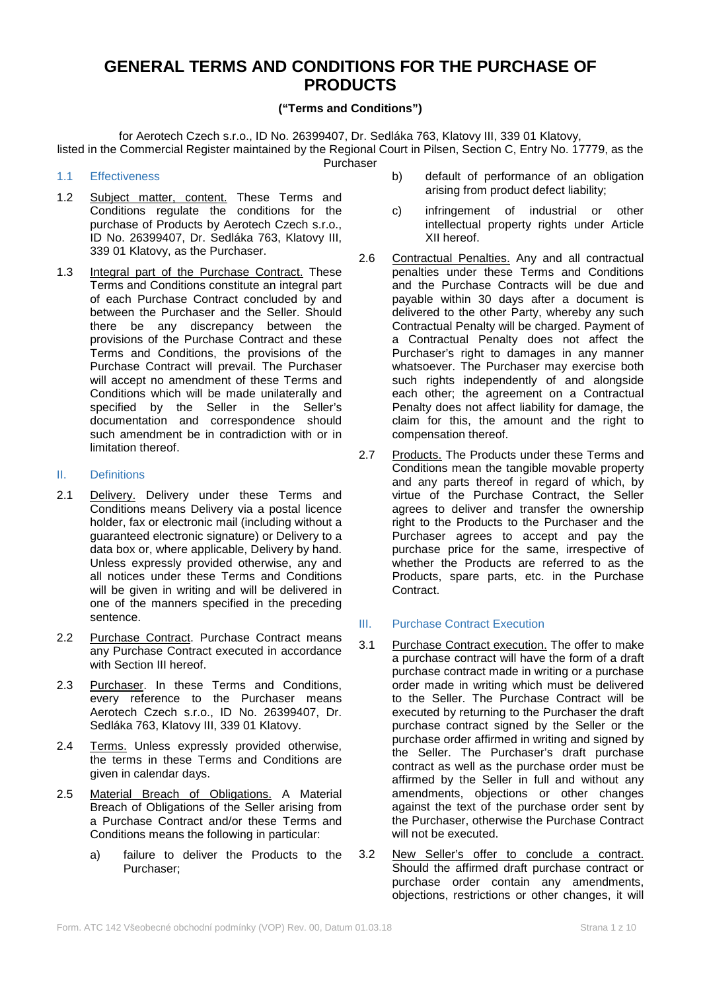# **GENERAL TERMS AND CONDITIONS FOR THE PURCHASE OF PRODUCTS**

# **("Terms and Conditions")**

for Aerotech Czech s.r.o., ID No. 26399407, Dr. Sedláka 763, Klatovy III, 339 01 Klatovy, listed in the Commercial Register maintained by the Regional Court in Pilsen, Section C, Entry No. 17779, as the Purchaser

#### 1.1 Effectiveness

- 1.2 Subject matter, content. These Terms and Conditions regulate the conditions for the purchase of Products by Aerotech Czech s.r.o., ID No. 26399407, Dr. Sedláka 763, Klatovy III, 339 01 Klatovy, as the Purchaser.
- 1.3 Integral part of the Purchase Contract. These Terms and Conditions constitute an integral part of each Purchase Contract concluded by and between the Purchaser and the Seller. Should there be any discrepancy between the provisions of the Purchase Contract and these Terms and Conditions, the provisions of the Purchase Contract will prevail. The Purchaser will accept no amendment of these Terms and Conditions which will be made unilaterally and specified by the Seller in the Seller's documentation and correspondence should such amendment be in contradiction with or in limitation thereof.

#### II. Definitions

- 2.1 Delivery. Delivery under these Terms and Conditions means Delivery via a postal licence holder, fax or electronic mail (including without a guaranteed electronic signature) or Delivery to a data box or, where applicable, Delivery by hand. Unless expressly provided otherwise, any and all notices under these Terms and Conditions will be given in writing and will be delivered in one of the manners specified in the preceding sentence.
- 2.2 Purchase Contract. Purchase Contract means any Purchase Contract executed in accordance with Section III hereof.
- 2.3 Purchaser. In these Terms and Conditions, every reference to the Purchaser means Aerotech Czech s.r.o., ID No. 26399407, Dr. Sedláka 763, Klatovy III, 339 01 Klatovy.
- 2.4 Terms. Unless expressly provided otherwise, the terms in these Terms and Conditions are given in calendar days.
- 2.5 Material Breach of Obligations. A Material Breach of Obligations of the Seller arising from a Purchase Contract and/or these Terms and Conditions means the following in particular:
	- a) failure to deliver the Products to the Purchaser;
- b) default of performance of an obligation arising from product defect liability;
- c) infringement of industrial or other intellectual property rights under Article XII hereof.
- 2.6 Contractual Penalties. Any and all contractual penalties under these Terms and Conditions and the Purchase Contracts will be due and payable within 30 days after a document is delivered to the other Party, whereby any such Contractual Penalty will be charged. Payment of a Contractual Penalty does not affect the Purchaser's right to damages in any manner whatsoever. The Purchaser may exercise both such rights independently of and alongside each other; the agreement on a Contractual Penalty does not affect liability for damage, the claim for this, the amount and the right to compensation thereof.
- 2.7 Products. The Products under these Terms and Conditions mean the tangible movable property and any parts thereof in regard of which, by virtue of the Purchase Contract, the Seller agrees to deliver and transfer the ownership right to the Products to the Purchaser and the Purchaser agrees to accept and pay the purchase price for the same, irrespective of whether the Products are referred to as the Products, spare parts, etc. in the Purchase **Contract**

## III. Purchase Contract Execution

- 3.1 Purchase Contract execution. The offer to make a purchase contract will have the form of a draft purchase contract made in writing or a purchase order made in writing which must be delivered to the Seller. The Purchase Contract will be executed by returning to the Purchaser the draft purchase contract signed by the Seller or the purchase order affirmed in writing and signed by the Seller. The Purchaser's draft purchase contract as well as the purchase order must be affirmed by the Seller in full and without any amendments, objections or other changes against the text of the purchase order sent by the Purchaser, otherwise the Purchase Contract will not be executed.
- 3.2 New Seller's offer to conclude a contract. Should the affirmed draft purchase contract or purchase order contain any amendments, objections, restrictions or other changes, it will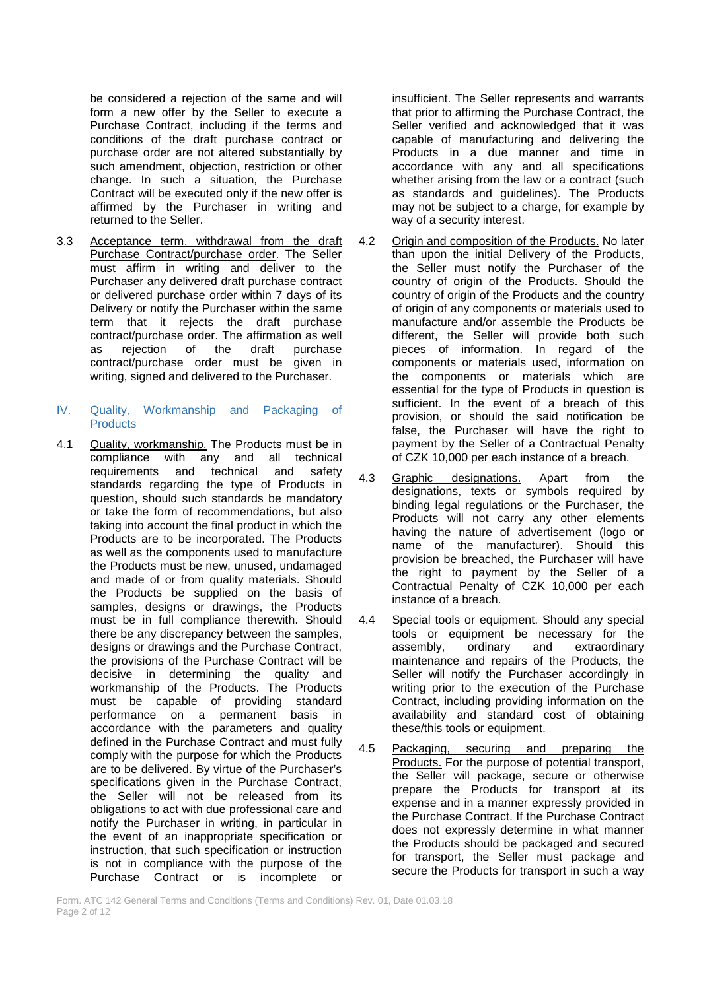be considered a rejection of the same and will form a new offer by the Seller to execute a Purchase Contract, including if the terms and conditions of the draft purchase contract or purchase order are not altered substantially by such amendment, objection, restriction or other change. In such a situation, the Purchase Contract will be executed only if the new offer is affirmed by the Purchaser in writing and returned to the Seller.

- 3.3 Acceptance term, withdrawal from the draft Purchase Contract/purchase order. The Seller must affirm in writing and deliver to the Purchaser any delivered draft purchase contract or delivered purchase order within 7 days of its Delivery or notify the Purchaser within the same term that it rejects the draft purchase contract/purchase order. The affirmation as well as rejection of the draft purchase contract/purchase order must be given in writing, signed and delivered to the Purchaser.
- IV. Quality, Workmanship and Packaging of **Products**
- 4.1 Quality, workmanship. The Products must be in compliance with any and all technical requirements and technical and safety standards regarding the type of Products in question, should such standards be mandatory or take the form of recommendations, but also taking into account the final product in which the Products are to be incorporated. The Products as well as the components used to manufacture the Products must be new, unused, undamaged and made of or from quality materials. Should the Products be supplied on the basis of samples, designs or drawings, the Products must be in full compliance therewith. Should there be any discrepancy between the samples, designs or drawings and the Purchase Contract, the provisions of the Purchase Contract will be decisive in determining the quality and workmanship of the Products. The Products must be capable of providing standard performance on a permanent basis in accordance with the parameters and quality defined in the Purchase Contract and must fully comply with the purpose for which the Products are to be delivered. By virtue of the Purchaser's specifications given in the Purchase Contract. the Seller will not be released from its obligations to act with due professional care and notify the Purchaser in writing, in particular in the event of an inappropriate specification or instruction, that such specification or instruction is not in compliance with the purpose of the Purchase Contract or is incomplete or

insufficient. The Seller represents and warrants that prior to affirming the Purchase Contract, the Seller verified and acknowledged that it was capable of manufacturing and delivering the Products in a due manner and time in accordance with any and all specifications whether arising from the law or a contract (such as standards and guidelines). The Products may not be subject to a charge, for example by way of a security interest.

- 4.2 Origin and composition of the Products. No later than upon the initial Delivery of the Products, the Seller must notify the Purchaser of the country of origin of the Products. Should the country of origin of the Products and the country of origin of any components or materials used to manufacture and/or assemble the Products be different, the Seller will provide both such pieces of information. In regard of the components or materials used, information on the components or materials which are essential for the type of Products in question is sufficient. In the event of a breach of this provision, or should the said notification be false, the Purchaser will have the right to payment by the Seller of a Contractual Penalty of CZK 10,000 per each instance of a breach.
- 4.3 Graphic designations. Apart from the designations, texts or symbols required by binding legal regulations or the Purchaser, the Products will not carry any other elements having the nature of advertisement (logo or name of the manufacturer). Should this provision be breached, the Purchaser will have the right to payment by the Seller of a Contractual Penalty of CZK 10,000 per each instance of a breach.
- 4.4 Special tools or equipment. Should any special tools or equipment be necessary for the assembly, ordinary and extraordinary maintenance and repairs of the Products, the Seller will notify the Purchaser accordingly in writing prior to the execution of the Purchase Contract, including providing information on the availability and standard cost of obtaining these/this tools or equipment.
- 4.5 Packaging, securing and preparing the Products. For the purpose of potential transport, the Seller will package, secure or otherwise prepare the Products for transport at its expense and in a manner expressly provided in the Purchase Contract. If the Purchase Contract does not expressly determine in what manner the Products should be packaged and secured for transport, the Seller must package and secure the Products for transport in such a way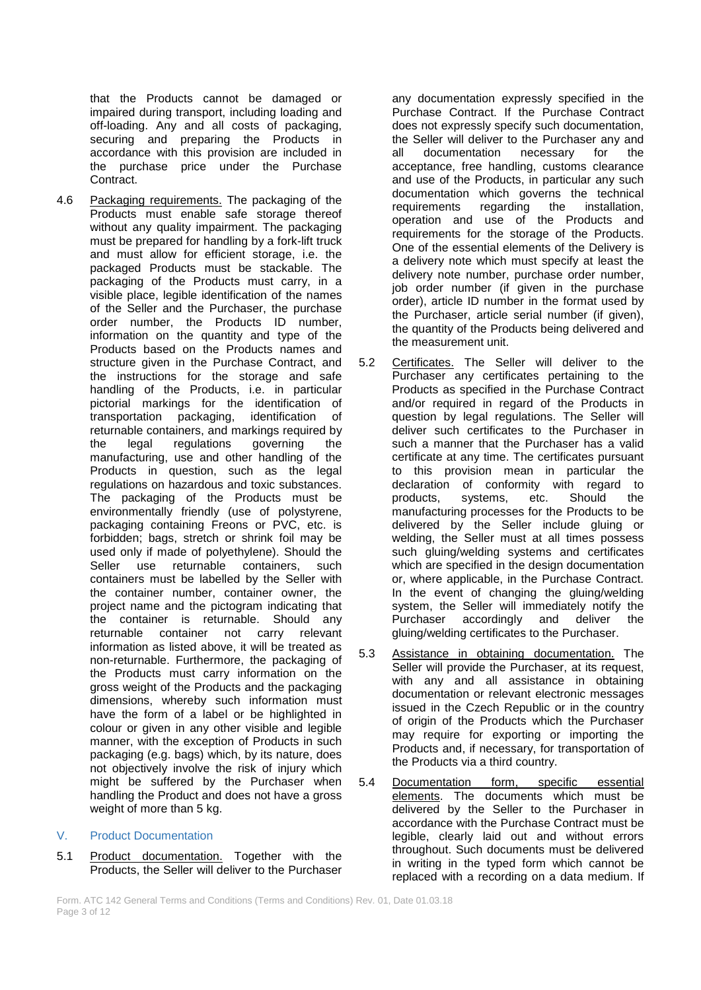that the Products cannot be damaged or impaired during transport, including loading and off-loading. Any and all costs of packaging, securing and preparing the Products in accordance with this provision are included in the purchase price under the Purchase Contract.

4.6 Packaging requirements. The packaging of the Products must enable safe storage thereof without any quality impairment. The packaging must be prepared for handling by a fork-lift truck and must allow for efficient storage, i.e. the packaged Products must be stackable. The packaging of the Products must carry, in a visible place, legible identification of the names of the Seller and the Purchaser, the purchase order number, the Products ID number, information on the quantity and type of the Products based on the Products names and structure given in the Purchase Contract, and the instructions for the storage and safe handling of the Products, i.e. in particular pictorial markings for the identification of transportation packaging, identification returnable containers, and markings required by<br>the legal regulations governing the the legal regulations governing the manufacturing, use and other handling of the Products in question, such as the legal regulations on hazardous and toxic substances. The packaging of the Products must be environmentally friendly (use of polystyrene, packaging containing Freons or PVC, etc. is forbidden; bags, stretch or shrink foil may be used only if made of polyethylene). Should the Seller use returnable containers, such containers must be labelled by the Seller with the container number, container owner, the project name and the pictogram indicating that the container is returnable. Should any returnable container not carry relevant information as listed above, it will be treated as non-returnable. Furthermore, the packaging of the Products must carry information on the gross weight of the Products and the packaging dimensions, whereby such information must have the form of a label or be highlighted in colour or given in any other visible and legible manner, with the exception of Products in such packaging (e.g. bags) which, by its nature, does not objectively involve the risk of injury which might be suffered by the Purchaser when handling the Product and does not have a gross weight of more than 5 kg.

#### V. Product Documentation

5.1 Product documentation. Together with the Products, the Seller will deliver to the Purchaser

any documentation expressly specified in the Purchase Contract. If the Purchase Contract does not expressly specify such documentation, the Seller will deliver to the Purchaser any and all documentation necessary for the acceptance, free handling, customs clearance and use of the Products, in particular any such documentation which governs the technical requirements regarding the installation, operation and use of the Products and requirements for the storage of the Products. One of the essential elements of the Delivery is a delivery note which must specify at least the delivery note number, purchase order number, job order number (if given in the purchase order), article ID number in the format used by the Purchaser, article serial number (if given), the quantity of the Products being delivered and the measurement unit.

- 5.2 Certificates. The Seller will deliver to the Purchaser any certificates pertaining to the Products as specified in the Purchase Contract and/or required in regard of the Products in question by legal regulations. The Seller will deliver such certificates to the Purchaser in such a manner that the Purchaser has a valid certificate at any time. The certificates pursuant to this provision mean in particular the declaration of conformity with regard to products, systems, etc. Should the manufacturing processes for the Products to be delivered by the Seller include gluing or welding, the Seller must at all times possess such gluing/welding systems and certificates which are specified in the design documentation or, where applicable, in the Purchase Contract. In the event of changing the gluing/welding system, the Seller will immediately notify the Purchaser accordingly and deliver the gluing/welding certificates to the Purchaser.
- 5.3 Assistance in obtaining documentation. The Seller will provide the Purchaser, at its request. with any and all assistance in obtaining documentation or relevant electronic messages issued in the Czech Republic or in the country of origin of the Products which the Purchaser may require for exporting or importing the Products and, if necessary, for transportation of the Products via a third country.
- 5.4 Documentation form, specific essential elements. The documents which must be delivered by the Seller to the Purchaser in accordance with the Purchase Contract must be legible, clearly laid out and without errors throughout. Such documents must be delivered in writing in the typed form which cannot be replaced with a recording on a data medium. If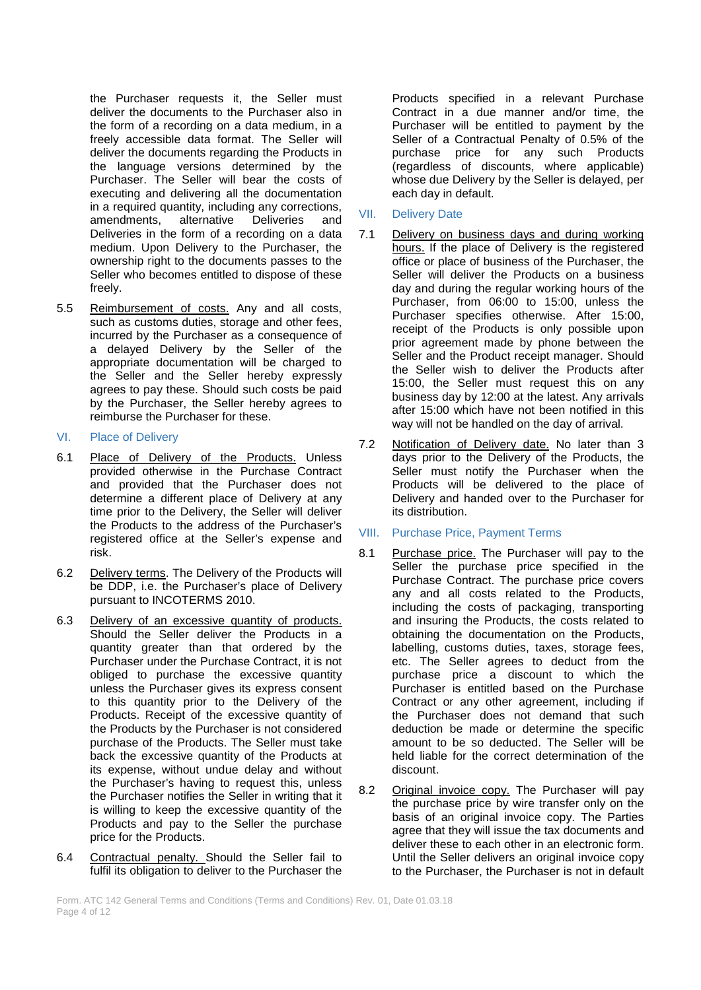the Purchaser requests it, the Seller must deliver the documents to the Purchaser also in the form of a recording on a data medium, in a freely accessible data format. The Seller will deliver the documents regarding the Products in the language versions determined by the Purchaser. The Seller will bear the costs of executing and delivering all the documentation in a required quantity, including any corrections, amendments, alternative Deliveries and Deliveries in the form of a recording on a data medium. Upon Delivery to the Purchaser, the ownership right to the documents passes to the Seller who becomes entitled to dispose of these freely.

- 5.5 Reimbursement of costs. Any and all costs, such as customs duties, storage and other fees, incurred by the Purchaser as a consequence of a delayed Delivery by the Seller of the appropriate documentation will be charged to the Seller and the Seller hereby expressly agrees to pay these. Should such costs be paid by the Purchaser, the Seller hereby agrees to reimburse the Purchaser for these.
- VI. Place of Delivery
- 6.1 Place of Delivery of the Products. Unless provided otherwise in the Purchase Contract and provided that the Purchaser does not determine a different place of Delivery at any time prior to the Delivery, the Seller will deliver the Products to the address of the Purchaser's registered office at the Seller's expense and risk.
- 6.2 Delivery terms. The Delivery of the Products will be DDP, i.e. the Purchaser's place of Delivery pursuant to INCOTERMS 2010.
- 6.3 Delivery of an excessive quantity of products. Should the Seller deliver the Products in a quantity greater than that ordered by the Purchaser under the Purchase Contract, it is not obliged to purchase the excessive quantity unless the Purchaser gives its express consent to this quantity prior to the Delivery of the Products. Receipt of the excessive quantity of the Products by the Purchaser is not considered purchase of the Products. The Seller must take back the excessive quantity of the Products at its expense, without undue delay and without the Purchaser's having to request this, unless the Purchaser notifies the Seller in writing that it is willing to keep the excessive quantity of the Products and pay to the Seller the purchase price for the Products.
- 6.4 Contractual penalty. Should the Seller fail to fulfil its obligation to deliver to the Purchaser the

Products specified in a relevant Purchase Contract in a due manner and/or time, the Purchaser will be entitled to payment by the Seller of a Contractual Penalty of 0.5% of the purchase price for any such Products (regardless of discounts, where applicable) whose due Delivery by the Seller is delayed, per each day in default.

- VII. Delivery Date
- 7.1 Delivery on business days and during working hours. If the place of Delivery is the registered office or place of business of the Purchaser, the Seller will deliver the Products on a business day and during the regular working hours of the Purchaser, from 06:00 to 15:00, unless the Purchaser specifies otherwise. After 15:00, receipt of the Products is only possible upon prior agreement made by phone between the Seller and the Product receipt manager. Should the Seller wish to deliver the Products after 15:00, the Seller must request this on any business day by 12:00 at the latest. Any arrivals after 15:00 which have not been notified in this way will not be handled on the day of arrival.
- 7.2 Notification of Delivery date. No later than 3 days prior to the Delivery of the Products, the Seller must notify the Purchaser when the Products will be delivered to the place of Delivery and handed over to the Purchaser for its distribution.
- VIII. Purchase Price, Payment Terms
- 8.1 Purchase price. The Purchaser will pay to the Seller the purchase price specified in the Purchase Contract. The purchase price covers any and all costs related to the Products, including the costs of packaging, transporting and insuring the Products, the costs related to obtaining the documentation on the Products, labelling, customs duties, taxes, storage fees, etc. The Seller agrees to deduct from the purchase price a discount to which the Purchaser is entitled based on the Purchase Contract or any other agreement, including if the Purchaser does not demand that such deduction be made or determine the specific amount to be so deducted. The Seller will be held liable for the correct determination of the discount.
- 8.2 Original invoice copy. The Purchaser will pay the purchase price by wire transfer only on the basis of an original invoice copy. The Parties agree that they will issue the tax documents and deliver these to each other in an electronic form. Until the Seller delivers an original invoice copy to the Purchaser, the Purchaser is not in default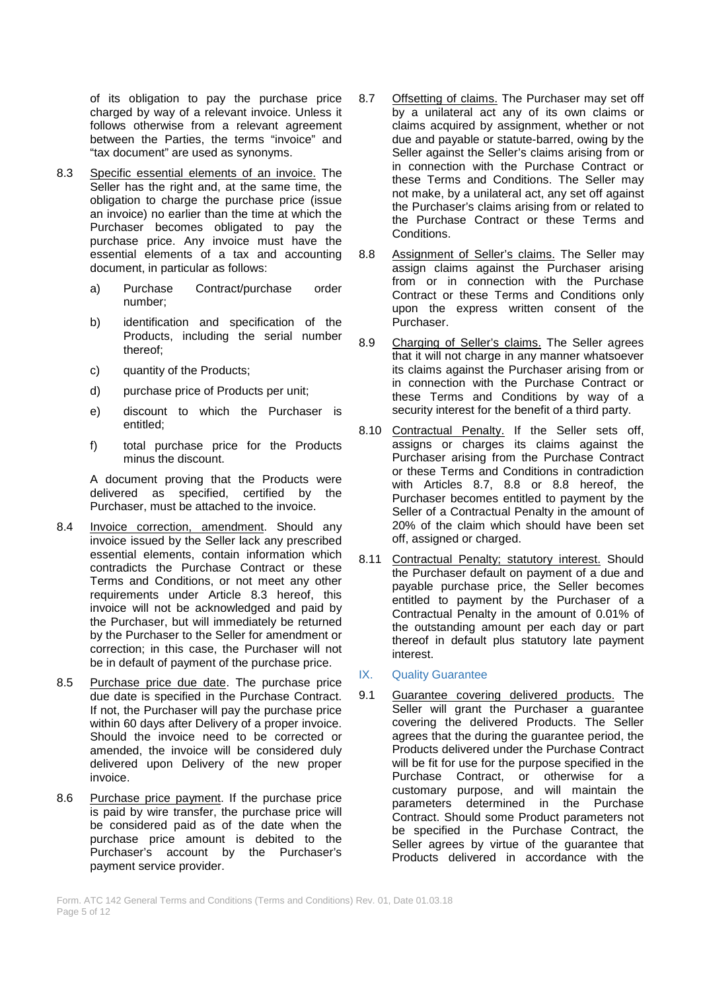of its obligation to pay the purchase price charged by way of a relevant invoice. Unless it follows otherwise from a relevant agreement between the Parties, the terms "invoice" and "tax document" are used as synonyms.

- 8.3 Specific essential elements of an invoice. The Seller has the right and, at the same time, the obligation to charge the purchase price (issue an invoice) no earlier than the time at which the Purchaser becomes obligated to pay the purchase price. Any invoice must have the essential elements of a tax and accounting document, in particular as follows:
	- a) Purchase Contract/purchase order number;
	- b) identification and specification of the Products, including the serial number thereof;
	- c) quantity of the Products;
	- d) purchase price of Products per unit;
	- e) discount to which the Purchaser is entitled;
	- f) total purchase price for the Products minus the discount.

A document proving that the Products were delivered as specified, certified by the Purchaser, must be attached to the invoice.

- 8.4 Invoice correction, amendment. Should any invoice issued by the Seller lack any prescribed essential elements, contain information which contradicts the Purchase Contract or these Terms and Conditions, or not meet any other requirements under Article 8.3 hereof, this invoice will not be acknowledged and paid by the Purchaser, but will immediately be returned by the Purchaser to the Seller for amendment or correction; in this case, the Purchaser will not be in default of payment of the purchase price.
- 8.5 Purchase price due date. The purchase price due date is specified in the Purchase Contract. If not, the Purchaser will pay the purchase price within 60 days after Delivery of a proper invoice. Should the invoice need to be corrected or amended, the invoice will be considered duly delivered upon Delivery of the new proper invoice.
- 8.6 Purchase price payment. If the purchase price is paid by wire transfer, the purchase price will be considered paid as of the date when the purchase price amount is debited to the Purchaser's account by the Purchaser's payment service provider.
- 8.7 Offsetting of claims. The Purchaser may set off by a unilateral act any of its own claims or claims acquired by assignment, whether or not due and payable or statute-barred, owing by the Seller against the Seller's claims arising from or in connection with the Purchase Contract or these Terms and Conditions. The Seller may not make, by a unilateral act, any set off against the Purchaser's claims arising from or related to the Purchase Contract or these Terms and Conditions.
- 8.8 Assignment of Seller's claims. The Seller may assign claims against the Purchaser arising from or in connection with the Purchase Contract or these Terms and Conditions only upon the express written consent of the Purchaser.
- 8.9 Charging of Seller's claims. The Seller agrees that it will not charge in any manner whatsoever its claims against the Purchaser arising from or in connection with the Purchase Contract or these Terms and Conditions by way of a security interest for the benefit of a third party.
- 8.10 Contractual Penalty. If the Seller sets off, assigns or charges its claims against the Purchaser arising from the Purchase Contract or these Terms and Conditions in contradiction with Articles 8.7, 8.8 or 8.8 hereof, the Purchaser becomes entitled to payment by the Seller of a Contractual Penalty in the amount of 20% of the claim which should have been set off, assigned or charged.
- 8.11 Contractual Penalty; statutory interest. Should the Purchaser default on payment of a due and payable purchase price, the Seller becomes entitled to payment by the Purchaser of a Contractual Penalty in the amount of 0.01% of the outstanding amount per each day or part thereof in default plus statutory late payment interest.
- IX. Quality Guarantee
- 9.1 Guarantee covering delivered products. The Seller will grant the Purchaser a guarantee covering the delivered Products. The Seller agrees that the during the guarantee period, the Products delivered under the Purchase Contract will be fit for use for the purpose specified in the Purchase Contract, or otherwise for a customary purpose, and will maintain the parameters determined in the Purchase Contract. Should some Product parameters not be specified in the Purchase Contract, the Seller agrees by virtue of the guarantee that Products delivered in accordance with the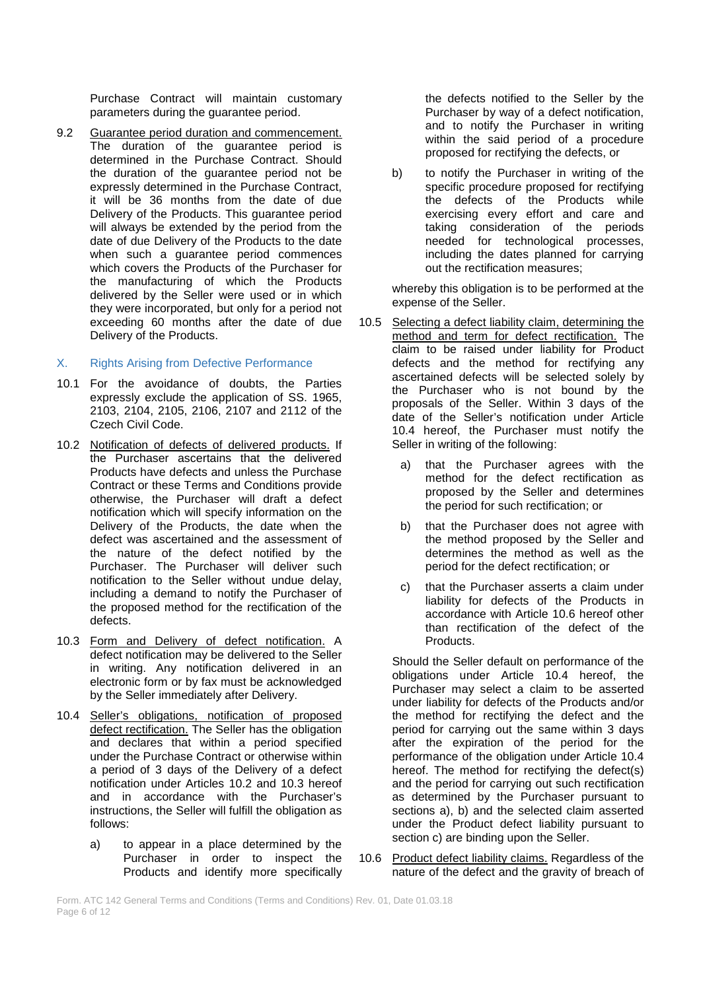Purchase Contract will maintain customary parameters during the guarantee period.

9.2 Guarantee period duration and commencement. The duration of the guarantee period is determined in the Purchase Contract. Should the duration of the guarantee period not be expressly determined in the Purchase Contract, it will be 36 months from the date of due Delivery of the Products. This guarantee period will always be extended by the period from the date of due Delivery of the Products to the date when such a quarantee period commences which covers the Products of the Purchaser for the manufacturing of which the Products delivered by the Seller were used or in which they were incorporated, but only for a period not exceeding 60 months after the date of due Delivery of the Products.

## X. Rights Arising from Defective Performance

- 10.1 For the avoidance of doubts, the Parties expressly exclude the application of SS. 1965, 2103, 2104, 2105, 2106, 2107 and 2112 of the Czech Civil Code.
- 10.2 Notification of defects of delivered products. If the Purchaser ascertains that the delivered Products have defects and unless the Purchase Contract or these Terms and Conditions provide otherwise, the Purchaser will draft a defect notification which will specify information on the Delivery of the Products, the date when the defect was ascertained and the assessment of the nature of the defect notified by the Purchaser. The Purchaser will deliver such notification to the Seller without undue delay, including a demand to notify the Purchaser of the proposed method for the rectification of the defects.
- 10.3 Form and Delivery of defect notification. A defect notification may be delivered to the Seller in writing. Any notification delivered in an electronic form or by fax must be acknowledged by the Seller immediately after Delivery.
- 10.4 Seller's obligations, notification of proposed defect rectification. The Seller has the obligation and declares that within a period specified under the Purchase Contract or otherwise within a period of 3 days of the Delivery of a defect notification under Articles 10.2 and 10.3 hereof and in accordance with the Purchaser's instructions, the Seller will fulfill the obligation as follows:
	- a) to appear in a place determined by the Purchaser in order to inspect the Products and identify more specifically

the defects notified to the Seller by the Purchaser by way of a defect notification, and to notify the Purchaser in writing within the said period of a procedure proposed for rectifying the defects, or

b) to notify the Purchaser in writing of the specific procedure proposed for rectifying the defects of the Products while exercising every effort and care and taking consideration of the periods needed for technological processes, including the dates planned for carrying out the rectification measures;

whereby this obligation is to be performed at the expense of the Seller.

- 10.5 Selecting a defect liability claim, determining the method and term for defect rectification. The claim to be raised under liability for Product defects and the method for rectifying any ascertained defects will be selected solely by the Purchaser who is not bound by the proposals of the Seller. Within 3 days of the date of the Seller's notification under Article 10.4 hereof, the Purchaser must notify the Seller in writing of the following:
	- a) that the Purchaser agrees with the method for the defect rectification as proposed by the Seller and determines the period for such rectification; or
	- b) that the Purchaser does not agree with the method proposed by the Seller and determines the method as well as the period for the defect rectification; or
	- c) that the Purchaser asserts a claim under liability for defects of the Products in accordance with Article 10.6 hereof other than rectification of the defect of the **Products**

Should the Seller default on performance of the obligations under Article 10.4 hereof, the Purchaser may select a claim to be asserted under liability for defects of the Products and/or the method for rectifying the defect and the period for carrying out the same within 3 days after the expiration of the period for the performance of the obligation under Article 10.4 hereof. The method for rectifying the defect(s) and the period for carrying out such rectification as determined by the Purchaser pursuant to sections a), b) and the selected claim asserted under the Product defect liability pursuant to section c) are binding upon the Seller.

10.6 Product defect liability claims. Regardless of the nature of the defect and the gravity of breach of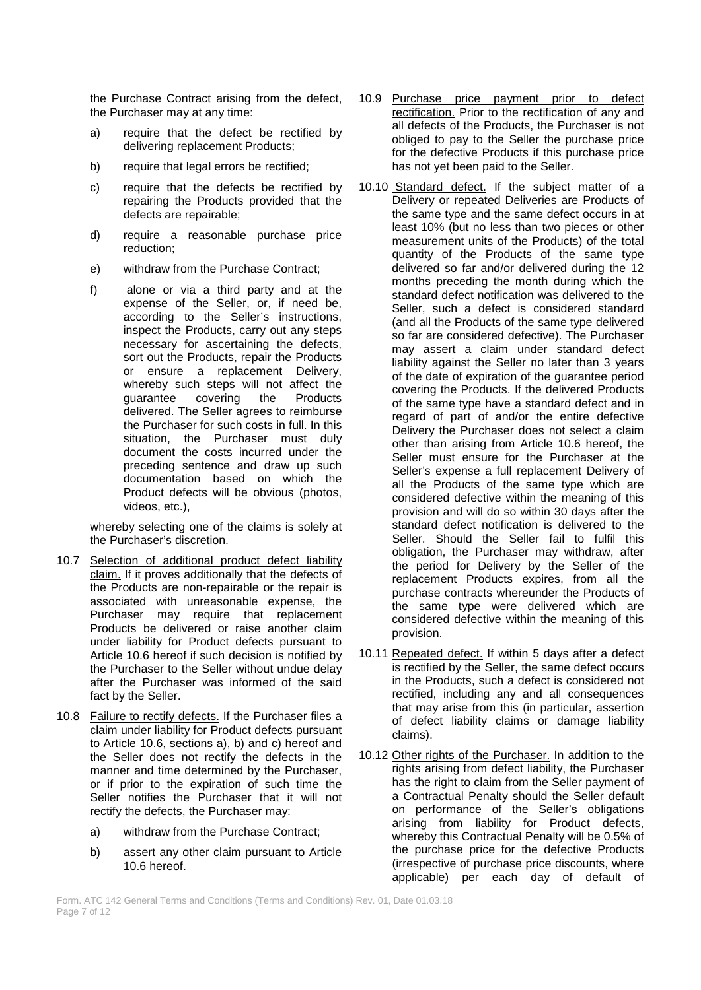the Purchase Contract arising from the defect, the Purchaser may at any time:

- a) require that the defect be rectified by delivering replacement Products;
- b) require that legal errors be rectified;
- c) require that the defects be rectified by repairing the Products provided that the defects are repairable;
- d) require a reasonable purchase price reduction;
- e) withdraw from the Purchase Contract;
- f) alone or via a third party and at the expense of the Seller, or, if need be, according to the Seller's instructions, inspect the Products, carry out any steps necessary for ascertaining the defects, sort out the Products, repair the Products or ensure a replacement Delivery, whereby such steps will not affect the<br>quarantee covering the Products quarantee covering the delivered. The Seller agrees to reimburse the Purchaser for such costs in full. In this situation, the Purchaser must duly document the costs incurred under the preceding sentence and draw up such documentation based on which the Product defects will be obvious (photos, videos, etc.),

whereby selecting one of the claims is solely at the Purchaser's discretion.

- 10.7 Selection of additional product defect liability claim. If it proves additionally that the defects of the Products are non-repairable or the repair is associated with unreasonable expense, the Purchaser may require that replacement Products be delivered or raise another claim under liability for Product defects pursuant to Article 10.6 hereof if such decision is notified by the Purchaser to the Seller without undue delay after the Purchaser was informed of the said fact by the Seller.
- 10.8 Failure to rectify defects. If the Purchaser files a claim under liability for Product defects pursuant to Article 10.6, sections a), b) and c) hereof and the Seller does not rectify the defects in the manner and time determined by the Purchaser, or if prior to the expiration of such time the Seller notifies the Purchaser that it will not rectify the defects, the Purchaser may:
	- a) withdraw from the Purchase Contract;
	- b) assert any other claim pursuant to Article 10.6 hereof.
- 10.9 Purchase price payment prior to defect rectification. Prior to the rectification of any and all defects of the Products, the Purchaser is not obliged to pay to the Seller the purchase price for the defective Products if this purchase price has not yet been paid to the Seller.
- 10.10 Standard defect. If the subject matter of a Delivery or repeated Deliveries are Products of the same type and the same defect occurs in at least 10% (but no less than two pieces or other measurement units of the Products) of the total quantity of the Products of the same type delivered so far and/or delivered during the 12 months preceding the month during which the standard defect notification was delivered to the Seller, such a defect is considered standard (and all the Products of the same type delivered so far are considered defective). The Purchaser may assert a claim under standard defect liability against the Seller no later than 3 years of the date of expiration of the guarantee period covering the Products. If the delivered Products of the same type have a standard defect and in regard of part of and/or the entire defective Delivery the Purchaser does not select a claim other than arising from Article 10.6 hereof, the Seller must ensure for the Purchaser at the Seller's expense a full replacement Delivery of all the Products of the same type which are considered defective within the meaning of this provision and will do so within 30 days after the standard defect notification is delivered to the Seller. Should the Seller fail to fulfil this obligation, the Purchaser may withdraw, after the period for Delivery by the Seller of the replacement Products expires, from all the purchase contracts whereunder the Products of the same type were delivered which are considered defective within the meaning of this provision.
- 10.11 Repeated defect. If within 5 days after a defect is rectified by the Seller, the same defect occurs in the Products, such a defect is considered not rectified, including any and all consequences that may arise from this (in particular, assertion of defect liability claims or damage liability claims).
- 10.12 Other rights of the Purchaser. In addition to the rights arising from defect liability, the Purchaser has the right to claim from the Seller payment of a Contractual Penalty should the Seller default on performance of the Seller's obligations arising from liability for Product defects, whereby this Contractual Penalty will be 0.5% of the purchase price for the defective Products (irrespective of purchase price discounts, where applicable) per each day of default of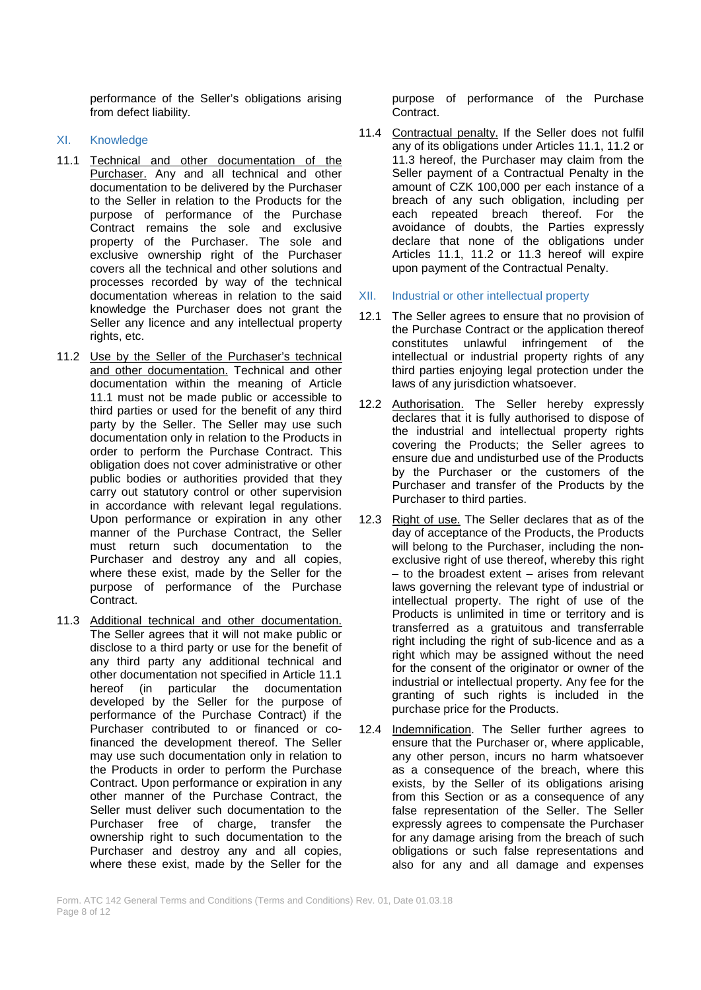performance of the Seller's obligations arising from defect liability.

# XI. Knowledge

- 11.1 Technical and other documentation of the Purchaser. Any and all technical and other documentation to be delivered by the Purchaser to the Seller in relation to the Products for the purpose of performance of the Purchase Contract remains the sole and exclusive property of the Purchaser. The sole and exclusive ownership right of the Purchaser covers all the technical and other solutions and processes recorded by way of the technical documentation whereas in relation to the said knowledge the Purchaser does not grant the Seller any licence and any intellectual property rights, etc.
- 11.2 Use by the Seller of the Purchaser's technical and other documentation. Technical and other documentation within the meaning of Article 11.1 must not be made public or accessible to third parties or used for the benefit of any third party by the Seller. The Seller may use such documentation only in relation to the Products in order to perform the Purchase Contract. This obligation does not cover administrative or other public bodies or authorities provided that they carry out statutory control or other supervision in accordance with relevant legal regulations. Upon performance or expiration in any other manner of the Purchase Contract, the Seller must return such documentation to the Purchaser and destroy any and all copies, where these exist, made by the Seller for the purpose of performance of the Purchase Contract.
- 11.3 Additional technical and other documentation. The Seller agrees that it will not make public or disclose to a third party or use for the benefit of any third party any additional technical and other documentation not specified in Article 11.1 hereof (in particular the documentation developed by the Seller for the purpose of performance of the Purchase Contract) if the Purchaser contributed to or financed or cofinanced the development thereof. The Seller may use such documentation only in relation to the Products in order to perform the Purchase Contract. Upon performance or expiration in any other manner of the Purchase Contract, the Seller must deliver such documentation to the Purchaser free of charge, transfer the ownership right to such documentation to the Purchaser and destroy any and all copies, where these exist, made by the Seller for the

purpose of performance of the Purchase Contract.

- 11.4 Contractual penalty. If the Seller does not fulfil any of its obligations under Articles 11.1, 11.2 or 11.3 hereof, the Purchaser may claim from the Seller payment of a Contractual Penalty in the amount of CZK 100,000 per each instance of a breach of any such obligation, including per each repeated breach thereof. For the avoidance of doubts, the Parties expressly declare that none of the obligations under Articles 11.1, 11.2 or 11.3 hereof will expire upon payment of the Contractual Penalty.
- XII. Industrial or other intellectual property
- 12.1 The Seller agrees to ensure that no provision of the Purchase Contract or the application thereof constitutes unlawful infringement of the intellectual or industrial property rights of any third parties enjoying legal protection under the laws of any jurisdiction whatsoever.
- 12.2 Authorisation. The Seller hereby expressly declares that it is fully authorised to dispose of the industrial and intellectual property rights covering the Products; the Seller agrees to ensure due and undisturbed use of the Products by the Purchaser or the customers of the Purchaser and transfer of the Products by the Purchaser to third parties.
- 12.3 Right of use. The Seller declares that as of the day of acceptance of the Products, the Products will belong to the Purchaser, including the nonexclusive right of use thereof, whereby this right – to the broadest extent – arises from relevant laws governing the relevant type of industrial or intellectual property. The right of use of the Products is unlimited in time or territory and is transferred as a gratuitous and transferrable right including the right of sub-licence and as a right which may be assigned without the need for the consent of the originator or owner of the industrial or intellectual property. Any fee for the granting of such rights is included in the purchase price for the Products.
- 12.4 Indemnification. The Seller further agrees to ensure that the Purchaser or, where applicable, any other person, incurs no harm whatsoever as a consequence of the breach, where this exists, by the Seller of its obligations arising from this Section or as a consequence of any false representation of the Seller. The Seller expressly agrees to compensate the Purchaser for any damage arising from the breach of such obligations or such false representations and also for any and all damage and expenses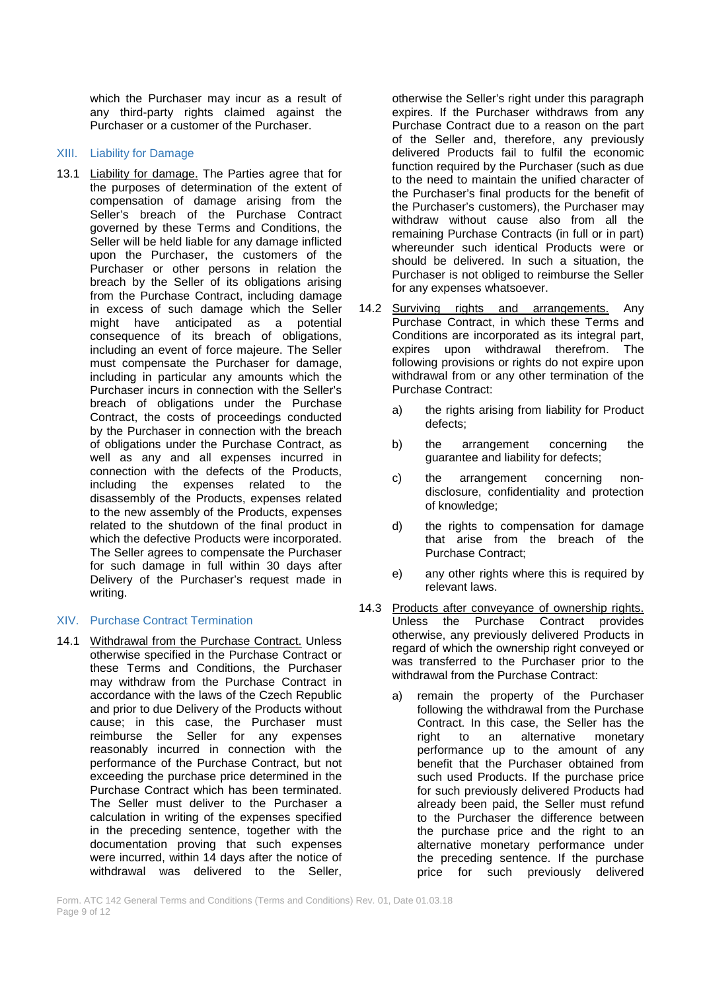which the Purchaser may incur as a result of any third-party rights claimed against the Purchaser or a customer of the Purchaser.

#### XIII. Liability for Damage

13.1 Liability for damage. The Parties agree that for the purposes of determination of the extent of compensation of damage arising from the Seller's breach of the Purchase Contract governed by these Terms and Conditions, the Seller will be held liable for any damage inflicted upon the Purchaser, the customers of the Purchaser or other persons in relation the breach by the Seller of its obligations arising from the Purchase Contract, including damage in excess of such damage which the Seller might have anticipated as a potential consequence of its breach of obligations, including an event of force majeure. The Seller must compensate the Purchaser for damage, including in particular any amounts which the Purchaser incurs in connection with the Seller's breach of obligations under the Purchase Contract, the costs of proceedings conducted by the Purchaser in connection with the breach of obligations under the Purchase Contract, as well as any and all expenses incurred in connection with the defects of the Products, including the expenses related to the disassembly of the Products, expenses related to the new assembly of the Products, expenses related to the shutdown of the final product in which the defective Products were incorporated. The Seller agrees to compensate the Purchaser for such damage in full within 30 days after Delivery of the Purchaser's request made in writing.

## XIV. Purchase Contract Termination

14.1 Withdrawal from the Purchase Contract. Unless otherwise specified in the Purchase Contract or these Terms and Conditions, the Purchaser may withdraw from the Purchase Contract in accordance with the laws of the Czech Republic and prior to due Delivery of the Products without cause; in this case, the Purchaser must reimburse the Seller for any expenses reasonably incurred in connection with the performance of the Purchase Contract, but not exceeding the purchase price determined in the Purchase Contract which has been terminated. The Seller must deliver to the Purchaser a calculation in writing of the expenses specified in the preceding sentence, together with the documentation proving that such expenses were incurred, within 14 days after the notice of withdrawal was delivered to the Seller,

otherwise the Seller's right under this paragraph expires. If the Purchaser withdraws from any Purchase Contract due to a reason on the part of the Seller and, therefore, any previously delivered Products fail to fulfil the economic function required by the Purchaser (such as due to the need to maintain the unified character of the Purchaser's final products for the benefit of the Purchaser's customers), the Purchaser may withdraw without cause also from all the remaining Purchase Contracts (in full or in part) whereunder such identical Products were or should be delivered. In such a situation, the Purchaser is not obliged to reimburse the Seller for any expenses whatsoever.

- 14.2 Surviving rights and arrangements. Any Purchase Contract, in which these Terms and Conditions are incorporated as its integral part, expires upon withdrawal therefrom. The following provisions or rights do not expire upon withdrawal from or any other termination of the Purchase Contract:
	- a) the rights arising from liability for Product defects;
	- b) the arrangement concerning the guarantee and liability for defects;
	- c) the arrangement concerning nondisclosure, confidentiality and protection of knowledge;
	- d) the rights to compensation for damage that arise from the breach of the Purchase Contract;
	- e) any other rights where this is required by relevant laws.
- 14.3 Products after conveyance of ownership rights. Unless the Purchase Contract provides otherwise, any previously delivered Products in regard of which the ownership right conveyed or was transferred to the Purchaser prior to the withdrawal from the Purchase Contract:
	- a) remain the property of the Purchaser following the withdrawal from the Purchase Contract. In this case, the Seller has the right to an alternative monetary performance up to the amount of any benefit that the Purchaser obtained from such used Products. If the purchase price for such previously delivered Products had already been paid, the Seller must refund to the Purchaser the difference between the purchase price and the right to an alternative monetary performance under the preceding sentence. If the purchase price for such previously delivered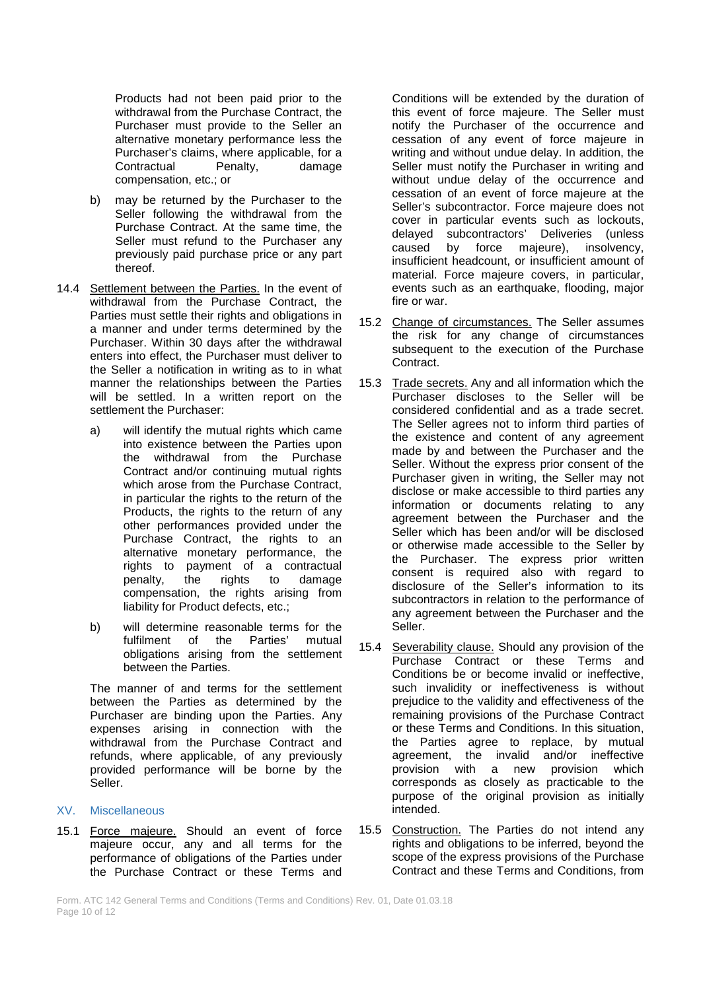Products had not been paid prior to the withdrawal from the Purchase Contract, the Purchaser must provide to the Seller an alternative monetary performance less the Purchaser's claims, where applicable, for a<br>Contractual Penalty, damage Contractual compensation, etc.; or

- b) may be returned by the Purchaser to the Seller following the withdrawal from the Purchase Contract. At the same time, the Seller must refund to the Purchaser any previously paid purchase price or any part thereof.
- 14.4 Settlement between the Parties. In the event of withdrawal from the Purchase Contract, the Parties must settle their rights and obligations in a manner and under terms determined by the Purchaser. Within 30 days after the withdrawal enters into effect, the Purchaser must deliver to the Seller a notification in writing as to in what manner the relationships between the Parties will be settled. In a written report on the settlement the Purchaser:
	- a) will identify the mutual rights which came into existence between the Parties upon the withdrawal from the Purchase Contract and/or continuing mutual rights which arose from the Purchase Contract, in particular the rights to the return of the Products, the rights to the return of any other performances provided under the Purchase Contract, the rights to an alternative monetary performance, the rights to payment of a contractual penalty, the rights to damage compensation, the rights arising from liability for Product defects, etc.;
	- b) will determine reasonable terms for the<br>fulfilment of the Parties' mutual fulfilment of the obligations arising from the settlement between the Parties.

The manner of and terms for the settlement between the Parties as determined by the Purchaser are binding upon the Parties. Any expenses arising in connection with the withdrawal from the Purchase Contract and refunds, where applicable, of any previously provided performance will be borne by the Seller.

#### XV. Miscellaneous

15.1 Force majeure. Should an event of force majeure occur, any and all terms for the performance of obligations of the Parties under the Purchase Contract or these Terms and

Conditions will be extended by the duration of this event of force majeure. The Seller must notify the Purchaser of the occurrence and cessation of any event of force majeure in writing and without undue delay. In addition, the Seller must notify the Purchaser in writing and without undue delay of the occurrence and cessation of an event of force majeure at the Seller's subcontractor. Force majeure does not cover in particular events such as lockouts, delayed subcontractors' Deliveries (unless caused by force majeure), insolvency, insufficient headcount, or insufficient amount of material. Force majeure covers, in particular, events such as an earthquake, flooding, major fire or war.

- 15.2 Change of circumstances. The Seller assumes the risk for any change of circumstances subsequent to the execution of the Purchase Contract.
- 15.3 Trade secrets. Any and all information which the Purchaser discloses to the Seller will be considered confidential and as a trade secret. The Seller agrees not to inform third parties of the existence and content of any agreement made by and between the Purchaser and the Seller. Without the express prior consent of the Purchaser given in writing, the Seller may not disclose or make accessible to third parties any information or documents relating to any agreement between the Purchaser and the Seller which has been and/or will be disclosed or otherwise made accessible to the Seller by the Purchaser. The express prior written consent is required also with regard to disclosure of the Seller's information to its subcontractors in relation to the performance of any agreement between the Purchaser and the Seller.
- 15.4 Severability clause. Should any provision of the Purchase Contract or these Terms and Conditions be or become invalid or ineffective, such invalidity or ineffectiveness is without prejudice to the validity and effectiveness of the remaining provisions of the Purchase Contract or these Terms and Conditions. In this situation, the Parties agree to replace, by mutual agreement, the invalid and/or ineffective provision with a new provision which corresponds as closely as practicable to the purpose of the original provision as initially intended.
- 15.5 Construction. The Parties do not intend any rights and obligations to be inferred, beyond the scope of the express provisions of the Purchase Contract and these Terms and Conditions, from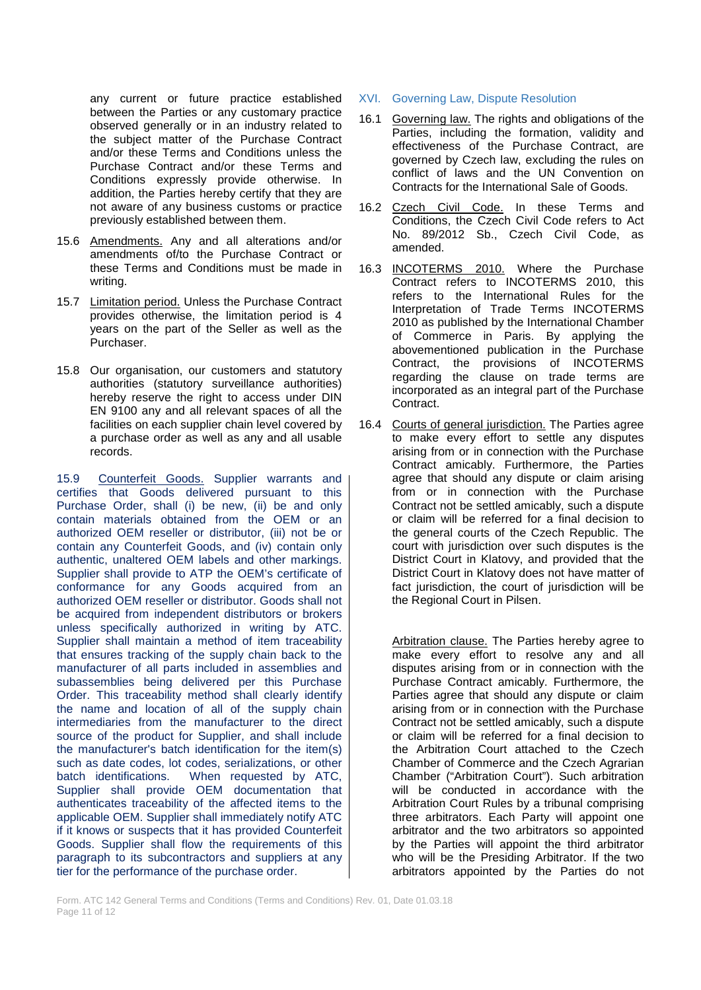any current or future practice established between the Parties or any customary practice observed generally or in an industry related to the subject matter of the Purchase Contract and/or these Terms and Conditions unless the Purchase Contract and/or these Terms and Conditions expressly provide otherwise. In addition, the Parties hereby certify that they are not aware of any business customs or practice previously established between them.

- 15.6 Amendments. Any and all alterations and/or amendments of/to the Purchase Contract or these Terms and Conditions must be made in writing.
- 15.7 Limitation period. Unless the Purchase Contract provides otherwise, the limitation period is 4 years on the part of the Seller as well as the Purchaser.
- 15.8 Our organisation, our customers and statutory authorities (statutory surveillance authorities) hereby reserve the right to access under DIN EN 9100 any and all relevant spaces of all the facilities on each supplier chain level covered by a purchase order as well as any and all usable records.

15.9 Counterfeit Goods. Supplier warrants and certifies that Goods delivered pursuant to this Purchase Order, shall (i) be new, (ii) be and only contain materials obtained from the OEM or an authorized OEM reseller or distributor, (iii) not be or contain any Counterfeit Goods, and (iv) contain only authentic, unaltered OEM labels and other markings. Supplier shall provide to ATP the OEM's certificate of conformance for any Goods acquired from an authorized OEM reseller or distributor. Goods shall not be acquired from independent distributors or brokers unless specifically authorized in writing by ATC. Supplier shall maintain a method of item traceability that ensures tracking of the supply chain back to the manufacturer of all parts included in assemblies and subassemblies being delivered per this Purchase Order. This traceability method shall clearly identify the name and location of all of the supply chain intermediaries from the manufacturer to the direct source of the product for Supplier, and shall include the manufacturer's batch identification for the item(s) such as date codes, lot codes, serializations, or other batch identifications. When requested by ATC, Supplier shall provide OEM documentation that authenticates traceability of the affected items to the applicable OEM. Supplier shall immediately notify ATC if it knows or suspects that it has provided Counterfeit Goods. Supplier shall flow the requirements of this paragraph to its subcontractors and suppliers at any tier for the performance of the purchase order.

- XVI. Governing Law, Dispute Resolution
- 16.1 Governing law. The rights and obligations of the Parties, including the formation, validity and effectiveness of the Purchase Contract, are governed by Czech law, excluding the rules on conflict of laws and the UN Convention on Contracts for the International Sale of Goods.
- 16.2 Czech Civil Code. In these Terms and Conditions, the Czech Civil Code refers to Act No. 89/2012 Sb., Czech Civil Code, as amended.
- 16.3 INCOTERMS 2010. Where the Purchase Contract refers to INCOTERMS 2010, this refers to the International Rules for the Interpretation of Trade Terms INCOTERMS 2010 as published by the International Chamber of Commerce in Paris. By applying the abovementioned publication in the Purchase Contract, the provisions of INCOTERMS regarding the clause on trade terms are incorporated as an integral part of the Purchase Contract.
- 16.4 Courts of general jurisdiction. The Parties agree to make every effort to settle any disputes arising from or in connection with the Purchase Contract amicably. Furthermore, the Parties agree that should any dispute or claim arising from or in connection with the Purchase Contract not be settled amicably, such a dispute or claim will be referred for a final decision to the general courts of the Czech Republic. The court with jurisdiction over such disputes is the District Court in Klatovy, and provided that the District Court in Klatovy does not have matter of fact jurisdiction, the court of jurisdiction will be the Regional Court in Pilsen.

Arbitration clause. The Parties hereby agree to make every effort to resolve any and all disputes arising from or in connection with the Purchase Contract amicably. Furthermore, the Parties agree that should any dispute or claim arising from or in connection with the Purchase Contract not be settled amicably, such a dispute or claim will be referred for a final decision to the Arbitration Court attached to the Czech Chamber of Commerce and the Czech Agrarian Chamber ("Arbitration Court"). Such arbitration will be conducted in accordance with the Arbitration Court Rules by a tribunal comprising three arbitrators. Each Party will appoint one arbitrator and the two arbitrators so appointed by the Parties will appoint the third arbitrator who will be the Presiding Arbitrator. If the two arbitrators appointed by the Parties do not